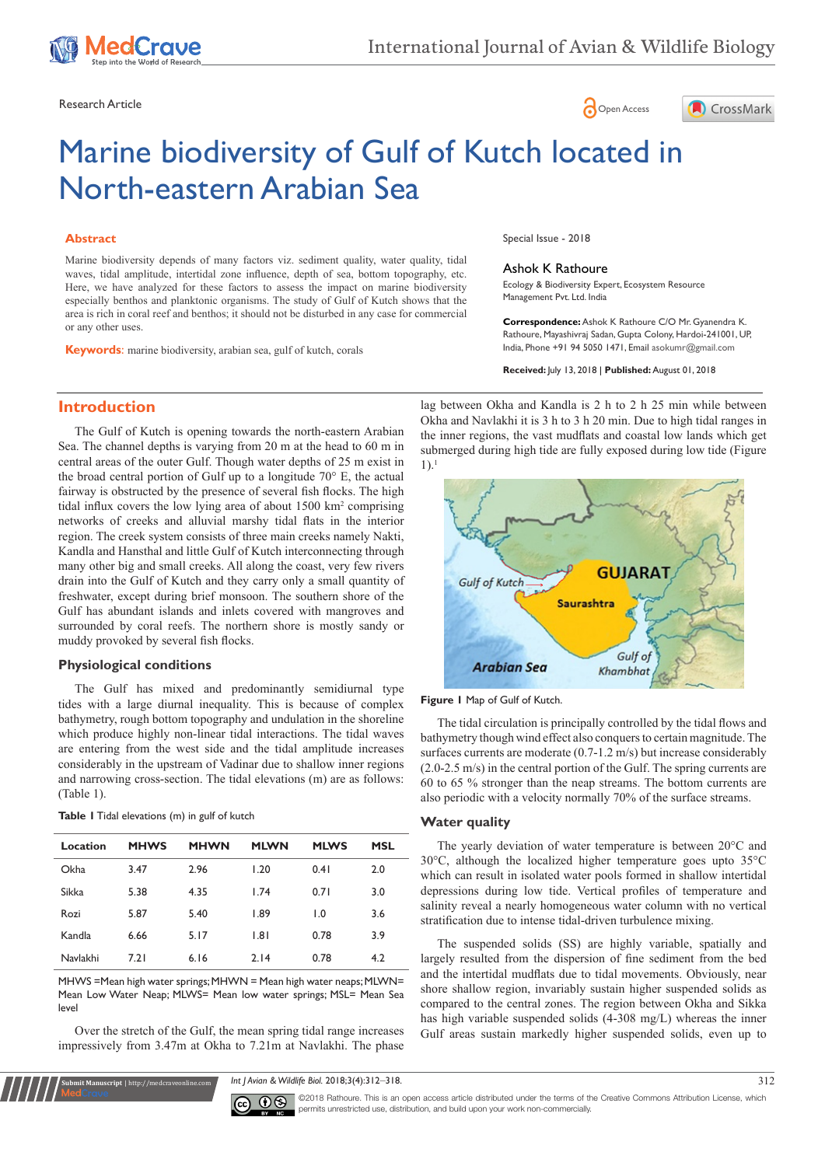





# Marine biodiversity of Gulf of Kutch located in North-eastern Arabian Sea

## **Abstract**

Marine biodiversity depends of many factors viz. sediment quality, water quality, tidal waves, tidal amplitude, intertidal zone influence, depth of sea, bottom topography, etc. Here, we have analyzed for these factors to assess the impact on marine biodiversity especially benthos and planktonic organisms. The study of Gulf of Kutch shows that the area is rich in coral reef and benthos; it should not be disturbed in any case for commercial or any other uses.

**Keywords**: marine biodiversity, arabian sea, gulf of kutch, corals

**Introduction**

The Gulf of Kutch is opening towards the north-eastern Arabian Sea. The channel depths is varying from 20 m at the head to 60 m in central areas of the outer Gulf. Though water depths of 25 m exist in the broad central portion of Gulf up to a longitude 70° E, the actual fairway is obstructed by the presence of several fish flocks. The high tidal influx covers the low lying area of about 1500 km<sup>2</sup> comprising networks of creeks and alluvial marshy tidal flats in the interior region. The creek system consists of three main creeks namely Nakti, Kandla and Hansthal and little Gulf of Kutch interconnecting through many other big and small creeks. All along the coast, very few rivers drain into the Gulf of Kutch and they carry only a small quantity of freshwater, except during brief monsoon. The southern shore of the Gulf has abundant islands and inlets covered with mangroves and surrounded by coral reefs. The northern shore is mostly sandy or muddy provoked by several fish flocks.

## **Physiological conditions**

The Gulf has mixed and predominantly semidiurnal type tides with a large diurnal inequality. This is because of complex bathymetry, rough bottom topography and undulation in the shoreline which produce highly non-linear tidal interactions. The tidal waves are entering from the west side and the tidal amplitude increases considerably in the upstream of Vadinar due to shallow inner regions and narrowing cross-section. The tidal elevations (m) are as follows: (Table 1).

## **Table 1** Tidal elevations (m) in gulf of kutch

**Submit Manuscript** | http://medcraveonline.com

| Location | <b>MHWS</b> | <b>MHWN</b> | <b>MLWN</b> | <b>MLWS</b> | <b>MSL</b> |
|----------|-------------|-------------|-------------|-------------|------------|
| Okha     | 3.47        | 2.96        | 1.20        | 0.41        | 2.0        |
| Sikka    | 5.38        | 4.35        | 1.74        | 0.71        | 3.0        |
| Rozi     | 5.87        | 5.40        | 1.89        | 1.0         | 3.6        |
| Kandla   | 6.66        | 5.17        | 1.81        | 0.78        | 3.9        |
| Navlakhi | 7.21        | 6.16        | 2.14        | 0.78        | 4.2        |

MHWS =Mean high water springs; MHWN = Mean high water neaps; MLWN= Mean Low Water Neap; MLWS= Mean low water springs; MSL= Mean Sea level

Over the stretch of the Gulf, the mean spring tidal range increases impressively from 3.47m at Okha to 7.21m at Navlakhi. The phase Special Issue - 2018

#### Ashok K Rathoure

Ecology & Biodiversity Expert, Ecosystem Resource Management Pvt. Ltd. India

**Correspondence:** Ashok K Rathoure C/O Mr. Gyanendra K. Rathoure, Mayashivraj Sadan, Gupta Colony, Hardoi-241001, UP, India, Phone +91 94 5050 1471, Email asokumr@gmail.com

**Received:** July 13, 2018 | **Published:** August 01, 2018

lag between Okha and Kandla is 2 h to 2 h 25 min while between Okha and Navlakhi it is 3 h to 3 h 20 min. Due to high tidal ranges in the inner regions, the vast mudflats and coastal low lands which get submerged during high tide are fully exposed during low tide (Figure  $1$ ).<sup>1</sup>



**Figure 1** Map of Gulf of Kutch.

The tidal circulation is principally controlled by the tidal flows and bathymetry though wind effect also conquers to certain magnitude. The surfaces currents are moderate (0.7-1.2 m/s) but increase considerably (2.0-2.5 m/s) in the central portion of the Gulf. The spring currents are 60 to 65 % stronger than the neap streams. The bottom currents are also periodic with a velocity normally 70% of the surface streams.

## **Water quality**

The yearly deviation of water temperature is between 20°C and 30°C, although the localized higher temperature goes upto 35°C which can result in isolated water pools formed in shallow intertidal depressions during low tide. Vertical profiles of temperature and salinity reveal a nearly homogeneous water column with no vertical stratification due to intense tidal-driven turbulence mixing.

The suspended solids (SS) are highly variable, spatially and largely resulted from the dispersion of fine sediment from the bed and the intertidal mudflats due to tidal movements. Obviously, near shore shallow region, invariably sustain higher suspended solids as compared to the central zones. The region between Okha and Sikka has high variable suspended solids (4-308 mg/L) whereas the inner Gulf areas sustain markedly higher suspended solids, even up to

*Int J Avian & Wildlife Biol.* 2018;3(4):312‒318. 312



©2018 Rathoure. This is an open access article distributed under the terms of the [Creative Commons Attribution License](https://creativecommons.org/licenses/by-nc/4.0/), which permits unrestricted use, distribution, and build upon your work non-commercially.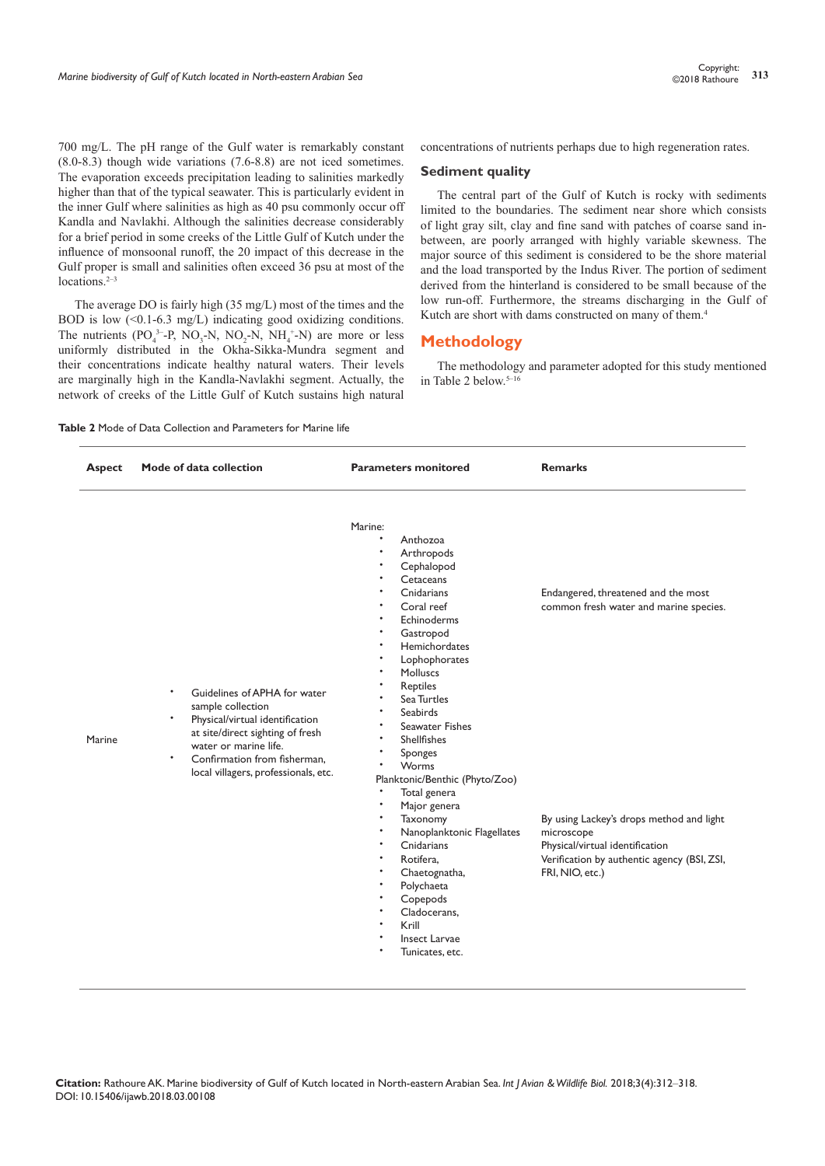700 mg/L. The pH range of the Gulf water is remarkably constant (8.0-8.3) though wide variations (7.6-8.8) are not iced sometimes. The evaporation exceeds precipitation leading to salinities markedly higher than that of the typical seawater. This is particularly evident in the inner Gulf where salinities as high as 40 psu commonly occur off Kandla and Navlakhi. Although the salinities decrease considerably for a brief period in some creeks of the Little Gulf of Kutch under the influence of monsoonal runoff, the 20 impact of this decrease in the Gulf proper is small and salinities often exceed 36 psu at most of the locations. $2-3$ 

The average DO is fairly high (35 mg/L) most of the times and the BOD is low (<0.1-6.3 mg/L) indicating good oxidizing conditions. The nutrients  $(PO_4^{3-}P, NO_3-N, NO_2-N, NH_4^{+}N)$  are more or less uniformly distributed in the Okha-Sikka-Mundra segment and their concentrations indicate healthy natural waters. Their levels are marginally high in the Kandla-Navlakhi segment. Actually, the network of creeks of the Little Gulf of Kutch sustains high natural concentrations of nutrients perhaps due to high regeneration rates.

## **Sediment quality**

The central part of the Gulf of Kutch is rocky with sediments limited to the boundaries. The sediment near shore which consists of light gray silt, clay and fine sand with patches of coarse sand inbetween, are poorly arranged with highly variable skewness. The major source of this sediment is considered to be the shore material and the load transported by the Indus River. The portion of sediment derived from the hinterland is considered to be small because of the low run-off. Furthermore, the streams discharging in the Gulf of Kutch are short with dams constructed on many of them.<sup>4</sup>

# **Methodology**

The methodology and parameter adopted for this study mentioned in Table 2 below.<sup>5-16</sup>

#### **Table 2** Mode of Data Collection and Parameters for Marine life

| <b>Aspect</b> | Mode of data collection                                                                                                                                                                                                                             | <b>Parameters monitored</b>                                                                                                                                                                                                                                                                                                                                                                                                                                                                                                                            |                                                                                                                                                                                                                                              |  |
|---------------|-----------------------------------------------------------------------------------------------------------------------------------------------------------------------------------------------------------------------------------------------------|--------------------------------------------------------------------------------------------------------------------------------------------------------------------------------------------------------------------------------------------------------------------------------------------------------------------------------------------------------------------------------------------------------------------------------------------------------------------------------------------------------------------------------------------------------|----------------------------------------------------------------------------------------------------------------------------------------------------------------------------------------------------------------------------------------------|--|
| <b>Marine</b> | Guidelines of APHA for water<br>sample collection<br>Physical/virtual identification<br>$\bullet$<br>at site/direct sighting of fresh<br>water or marine life.<br>$\bullet$<br>Confirmation from fisherman,<br>local villagers, professionals, etc. | Marine:<br>Anthozoa<br>Arthropods<br>Cephalopod<br>Cetaceans<br>Cnidarians<br>Coral reef<br>Echinoderms<br>Gastropod<br>Hemichordates<br>Lophophorates<br>Molluscs<br><b>Reptiles</b><br>Sea Turtles<br>Seabirds<br><b>Seawater Fishes</b><br>Shellfishes<br>Sponges<br>$\bullet$<br>Worms<br>Planktonic/Benthic (Phyto/Zoo)<br>$\bullet$<br>Total genera<br>Major genera<br>Taxonomy<br>Nanoplanktonic Flagellates<br>Cnidarians<br>Rotifera,<br>Chaetognatha,<br>Polychaeta<br>Copepods<br>Cladocerans,<br>Krill<br>Insect Larvae<br>Tunicates, etc. | Endangered, threatened and the most<br>common fresh water and marine species.<br>By using Lackey's drops method and light<br>microscope<br>Physical/virtual identification<br>Verification by authentic agency (BSI, ZSI,<br>FRI, NIO, etc.) |  |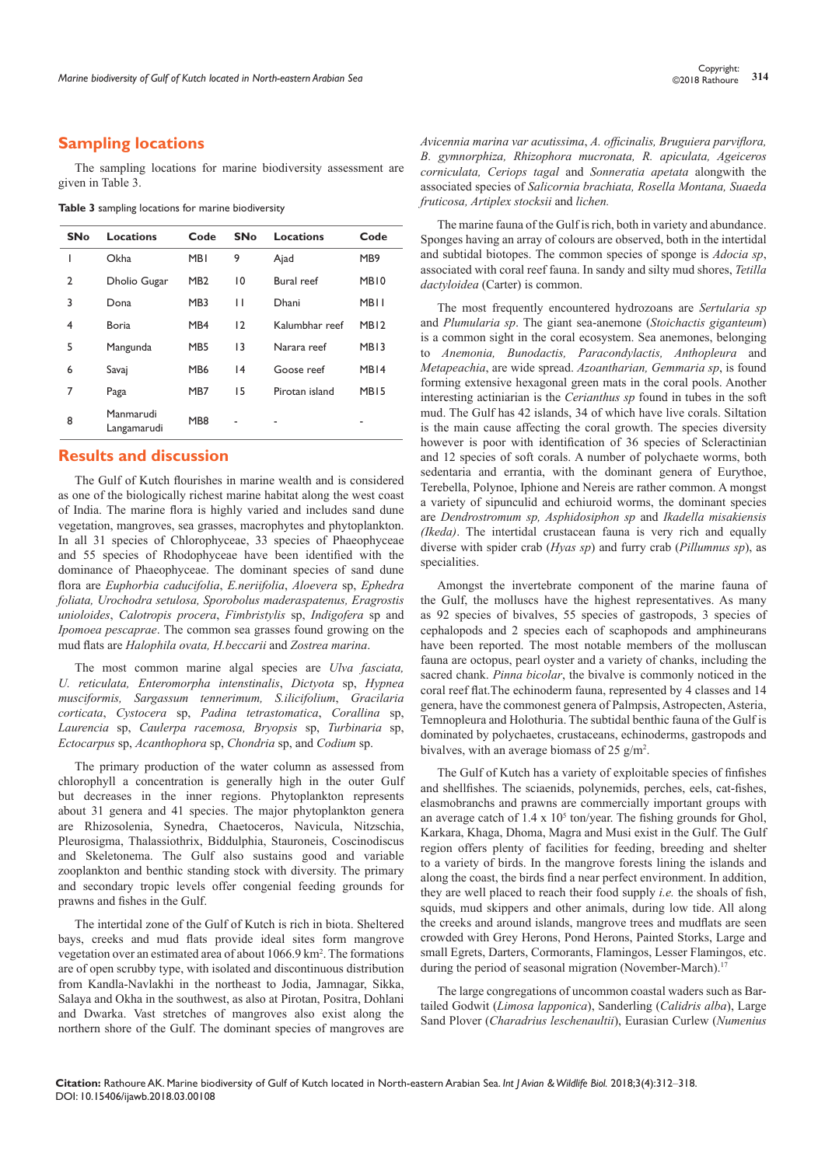# **Sampling locations**

The sampling locations for marine biodiversity assessment are given in Table 3.

**Table 3** sampling locations for marine biodiversity

| <b>SNo</b> | <b>Locations</b>         | Code            | <b>SNo</b>      | Locations         | Code             |
|------------|--------------------------|-----------------|-----------------|-------------------|------------------|
| ı          | Okha                     | <b>MBI</b>      | 9               | Ajad              | MB <sub>9</sub>  |
| 2          | Dholio Gugar             | MB <sub>2</sub> | $\overline{0}$  | <b>Bural</b> reef | MB <sub>10</sub> |
| 3          | Dona                     | MB <sub>3</sub> | П               | Dhani             | <b>MBII</b>      |
| 4          | <b>Boria</b>             | MB4             | 12              | Kalumbhar reef    | MB <sub>12</sub> |
| 5          | Mangunda                 | MB <sub>5</sub> | $\overline{13}$ | Narara reef       | MB <sub>13</sub> |
| 6          | Savaj                    | MB <sub>6</sub> | 4               | Goose reef        | MB <sub>14</sub> |
| 7          | Paga                     | MB7             | 15              | Pirotan island    | MB <sub>15</sub> |
| 8          | Manmarudi<br>Langamarudi | MB <sub>8</sub> |                 |                   |                  |

# **Results and discussion**

The Gulf of Kutch flourishes in marine wealth and is considered as one of the biologically richest marine habitat along the west coast of India. The marine flora is highly varied and includes sand dune vegetation, mangroves, sea grasses, macrophytes and phytoplankton. In all 31 species of Chlorophyceae, 33 species of Phaeophyceae and 55 species of Rhodophyceae have been identified with the dominance of Phaeophyceae. The dominant species of sand dune flora are *Euphorbia caducifolia*, *E.neriifolia*, *Aloevera* sp, *Ephedra foliata, Urochodra setulosa, Sporobolus maderaspatenus, Eragrostis unioloides*, *Calotropis procera*, *Fimbristylis* sp, *Indigofera* sp and *Ipomoea pescaprae*. The common sea grasses found growing on the mud flats are *Halophila ovata, H.beccarii* and *Zostrea marina*.

The most common marine algal species are *Ulva fasciata, U. reticulata, Enteromorpha intenstinalis*, *Dictyota* sp, *Hypnea musciformis, Sargassum tennerimum, S.ilicifolium*, *Gracilaria corticata*, *Cystocera* sp, *Padina tetrastomatica*, *Corallina* sp, *Laurencia* sp, *Caulerpa racemosa, Bryopsis* sp, *Turbinaria* sp, *Ectocarpus* sp, *Acanthophora* sp, *Chondria* sp, and *Codium* sp.

The primary production of the water column as assessed from chlorophyll a concentration is generally high in the outer Gulf but decreases in the inner regions. Phytoplankton represents about 31 genera and 41 species. The major phytoplankton genera are Rhizosolenia, Synedra, Chaetoceros, Navicula, Nitzschia, Pleurosigma, Thalassiothrix, Biddulphia, Stauroneis, Coscinodiscus and Skeletonema. The Gulf also sustains good and variable zooplankton and benthic standing stock with diversity. The primary and secondary tropic levels offer congenial feeding grounds for prawns and fishes in the Gulf.

The intertidal zone of the Gulf of Kutch is rich in biota. Sheltered bays, creeks and mud flats provide ideal sites form mangrove vegetation over an estimated area of about 1066.9 km<sup>2</sup> . The formations are of open scrubby type, with isolated and discontinuous distribution from Kandla-Navlakhi in the northeast to Jodia, Jamnagar, Sikka, Salaya and Okha in the southwest, as also at Pirotan, Positra, Dohlani and Dwarka. Vast stretches of mangroves also exist along the northern shore of the Gulf. The dominant species of mangroves are

*Avicennia marina var acutissima*, *A. officinalis, Bruguiera parviflora, B. gymnorphiza, Rhizophora mucronata, R. apiculata, Ageiceros corniculata, Ceriops tagal* and *Sonneratia apetata* alongwith the associated species of *Salicornia brachiata, Rosella Montana, Suaeda fruticosa, Artiplex stocksii* and *lichen.*

The marine fauna of the Gulf is rich, both in variety and abundance. Sponges having an array of colours are observed, both in the intertidal and subtidal biotopes. The common species of sponge is *Adocia sp*, associated with coral reef fauna. In sandy and silty mud shores, *Tetilla dactyloidea* (Carter) is common.

The most frequently encountered hydrozoans are *Sertularia sp* and *Plumularia sp*. The giant sea-anemone (*Stoichactis giganteum*) is a common sight in the coral ecosystem. Sea anemones, belonging to *Anemonia, Bunodactis, Paracondylactis, Anthopleura* and *Metapeachia*, are wide spread. *Azoantharian, Gemmaria sp*, is found forming extensive hexagonal green mats in the coral pools. Another interesting actiniarian is the *Cerianthus sp* found in tubes in the soft mud. The Gulf has 42 islands, 34 of which have live corals. Siltation is the main cause affecting the coral growth. The species diversity however is poor with identification of 36 species of Scleractinian and 12 species of soft corals. A number of polychaete worms, both sedentaria and errantia, with the dominant genera of Eurythoe, Terebella, Polynoe, Iphione and Nereis are rather common. A mongst a variety of sipunculid and echiuroid worms, the dominant species are *Dendrostromum sp, Asphidosiphon sp* and *Ikadella misakiensis (Ikeda)*. The intertidal crustacean fauna is very rich and equally diverse with spider crab (*Hyas sp*) and furry crab (*Pillumnus sp*), as specialities.

Amongst the invertebrate component of the marine fauna of the Gulf, the molluscs have the highest representatives. As many as 92 species of bivalves, 55 species of gastropods, 3 species of cephalopods and 2 species each of scaphopods and amphineurans have been reported. The most notable members of the molluscan fauna are octopus, pearl oyster and a variety of chanks, including the sacred chank. *Pinna bicolar*, the bivalve is commonly noticed in the coral reef flat.The echinoderm fauna, represented by 4 classes and 14 genera, have the commonest genera of Palmpsis, Astropecten, Asteria, Temnopleura and Holothuria. The subtidal benthic fauna of the Gulf is dominated by polychaetes, crustaceans, echinoderms, gastropods and bivalves, with an average biomass of 25  $g/m<sup>2</sup>$ .

The Gulf of Kutch has a variety of exploitable species of finfishes and shellfishes. The sciaenids, polynemids, perches, eels, cat-fishes, elasmobranchs and prawns are commercially important groups with an average catch of  $1.4 \times 10^5$  ton/year. The fishing grounds for Ghol, Karkara, Khaga, Dhoma, Magra and Musi exist in the Gulf. The Gulf region offers plenty of facilities for feeding, breeding and shelter to a variety of birds. In the mangrove forests lining the islands and along the coast, the birds find a near perfect environment. In addition, they are well placed to reach their food supply *i.e.* the shoals of fish, squids, mud skippers and other animals, during low tide. All along the creeks and around islands, mangrove trees and mudflats are seen crowded with Grey Herons, Pond Herons, Painted Storks, Large and small Egrets, Darters, Cormorants, Flamingos, Lesser Flamingos, etc. during the period of seasonal migration (November-March).<sup>17</sup>

The large congregations of uncommon coastal waders such as Bartailed Godwit (*Limosa lapponica*), Sanderling (*Calidris alba*), Large Sand Plover (*Charadrius leschenaultii*), Eurasian Curlew (*Numenius*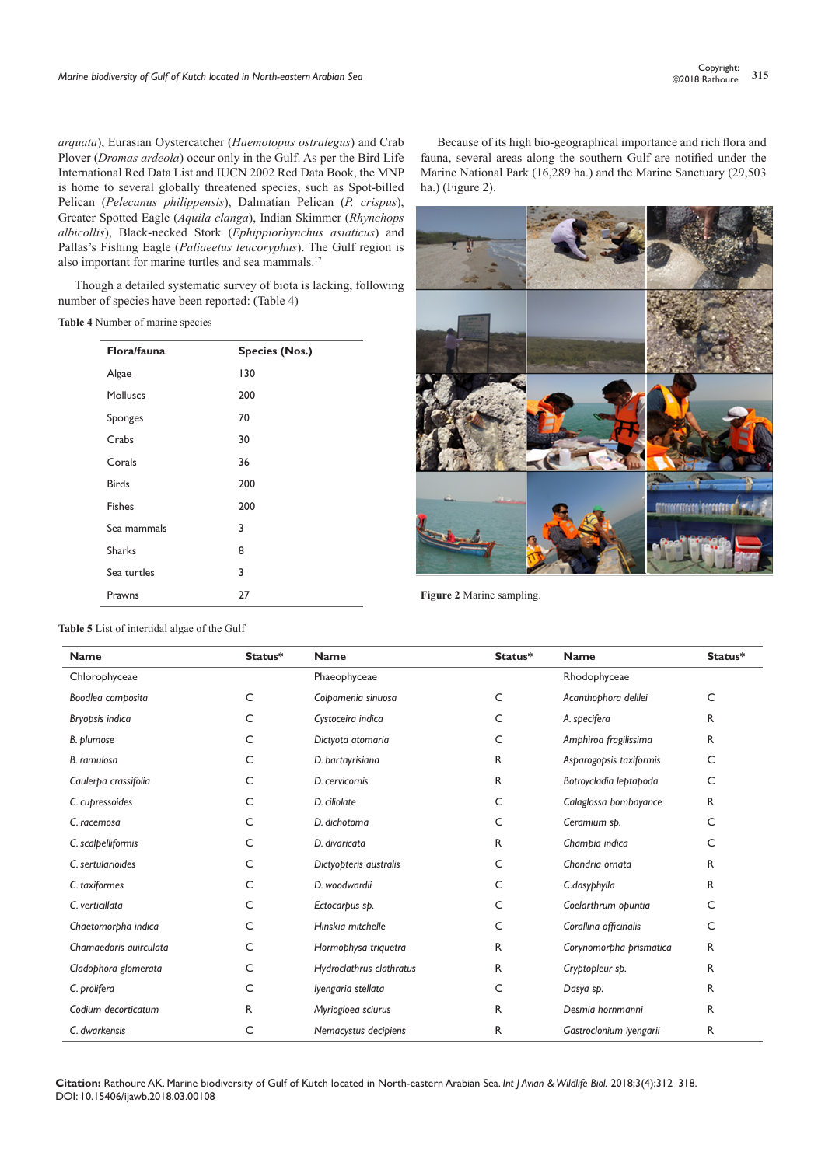*arquata*), Eurasian Oystercatcher (*Haemotopus ostralegus*) and Crab Plover (*Dromas ardeola*) occur only in the Gulf. As per the Bird Life International Red Data List and IUCN 2002 Red Data Book, the MNP is home to several globally threatened species, such as Spot-billed Pelican (*Pelecanus philippensis*), Dalmatian Pelican (*P. crispus*), Greater Spotted Eagle (*Aquila clanga*), Indian Skimmer (*Rhynchops albicollis*), Black-necked Stork (*Ephippiorhynchus asiaticus*) and Pallas's Fishing Eagle (*Paliaeetus leucoryphus*). The Gulf region is also important for marine turtles and sea mammals.<sup>17</sup>

Though a detailed systematic survey of biota is lacking, following number of species have been reported: (Table 4)

## **Table 4** Number of marine species

| Flora/fauna   | <b>Species (Nos.)</b> |
|---------------|-----------------------|
| Algae         | 130                   |
| Molluscs      | 200                   |
| Sponges       | 70                    |
| Crabs         | 30                    |
| Corals        | 36                    |
| <b>Birds</b>  | 200                   |
| <b>Fishes</b> | 200                   |
| Sea mammals   | 3                     |
| <b>Sharks</b> | 8                     |
| Sea turtles   | 3                     |
| Prawns        | 27                    |

Because of its high bio-geographical importance and rich flora and fauna, several areas along the southern Gulf are notified under the Marine National Park (16,289 ha.) and the Marine Sanctuary (29,503 ha.) (Figure 2).



**Figure 2** Marine sampling.

| <b>Name</b>            | Status*      | <b>Name</b>              | Status* | <b>Name</b>             | Status* |
|------------------------|--------------|--------------------------|---------|-------------------------|---------|
| Chlorophyceae          |              | Phaeophyceae             |         | Rhodophyceae            |         |
| Boodlea composita      | C            | Colpomenia sinuosa       | C       | Acanthophora delilei    | C       |
| Bryopsis indica        | C            | Cystoceira indica        | C       | A. specifera            | R       |
| B. plumose             | C            | Dictyota atomaria        | C       | Amphiroa fragilissima   | R       |
| B. ramulosa            | C            | D. bartayrisiana         | R       | Asparogopsis taxiformis | C       |
| Caulerpa crassifolia   | C            | D. cervicornis           | R       | Botroycladia leptapoda  | C       |
| C. cupressoides        | C            | D. ciliolate             | C       | Calaglossa bombayance   | R       |
| C. racemosa            | C            | D. dichotoma             | C       | Ceramium sp.            | C       |
| C. scalpelliformis     | C            | D. divaricata            | R       | Champia indica          | C       |
| C. sertularioides      | C            | Dictyopteris australis   | C       | Chondria ornata         | R       |
| C. taxiformes          | C            | D. woodwardii            | C       | C.dasyphylla            | R       |
| C. verticillata        | C            | Ectocarpus sp.           | C       | Coelarthrum opuntia     | C       |
| Chaetomorpha indica    | C            | Hinskia mitchelle        | C       | Corallina officinalis   | C       |
| Chamaedoris auirculata | C            | Hormophysa triquetra     | R       | Corynomorpha prismatica | R       |
| Cladophora glomerata   | C            | Hydroclathrus clathratus | R       | Cryptopleur sp.         | R       |
| C. prolifera           | С            | Iyengaria stellata       | C       | Dasya sp.               | R       |
| Codium decorticatum    | $\mathsf{R}$ | Myriogloea sciurus       | R       | Desmig hornmanni        | R       |
| C. dwarkensis          | C            | Nemacystus decipiens     | R       | Gastroclonium iyengarii | R       |

**Citation:** Rathoure AK. Marine biodiversity of Gulf of Kutch located in North-eastern Arabian Sea. *Int J Avian & Wildlife Biol.* 2018;3(4):312‒318. DOI: [10.15406/ijawb.2018.03.00108](https://doi.org/10.15406/ijawb.2018.03.00108
)

**Table 5** List of intertidal algae of the Gulf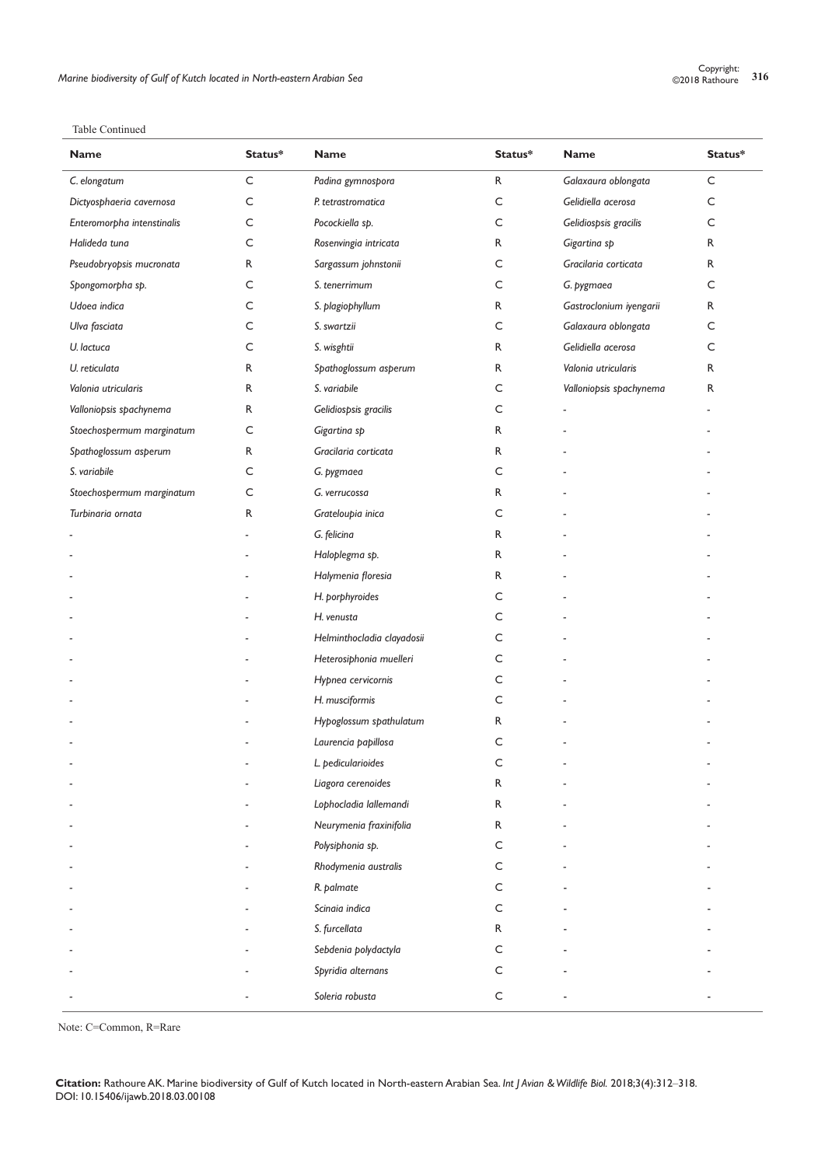Table Continued

| <b>Name</b>                | Status*     | <b>Name</b>                | Status*      | <b>Name</b>             | Status*     |
|----------------------------|-------------|----------------------------|--------------|-------------------------|-------------|
| C. elongatum               | $\mathsf C$ | Padina gymnospora          | $\mathsf{R}$ | Galaxaura oblongata     | $\mathsf C$ |
| Dictyosphaeria cavernosa   | C           | P. tetrastromatica         | C            | Gelidiella acerosa      | C           |
| Enteromorpha intenstinalis | C           | Pocockiella sp.            | C            | Gelidiospsis gracilis   | C           |
| Halideda tuna              | C           | Rosenvingia intricata      | R            | Gigartina sp            | R           |
| Pseudobryopsis mucronata   | R           | Sargassum johnstonii       | C            | Gracilaria corticata    | R           |
| Spongomorpha sp.           | C           | S. tenerrimum              | C            | G. pygmaea              | C           |
| Udoea indica               | C           | S. plagiophyllum           | R            | Gastroclonium iyengarii | R           |
| Ulva fasciata              | C           | S. swartzii                | C            | Galaxaura oblongata     | C           |
| U. lactuca                 | C           | S. wisghtii                | R            | Gelidiella acerosa      | C           |
| U. reticulata              | R           | Spathoglossum asperum      | R            | Valonia utricularis     | R           |
| Valonia utricularis        | R           | S. variabile               | С            | Valloniopsis spachynema | R           |
| Valloniopsis spachynema    | R           | Gelidiospsis gracilis      | C            |                         |             |
| Stoechospermum marginatum  | C           | Gigartina sp               | R            |                         |             |
| Spathoglossum asperum      | R           | Gracilaria corticata       | R            |                         |             |
| S. variabile               | C           | G. pygmaea                 | C            |                         |             |
| Stoechospermum marginatum  | $\subset$   | G. verrucossa              | R            |                         |             |
| Turbinaria ornata          | R           | Grateloupia inica          | C            |                         |             |
|                            |             | G. felicina                | R            |                         |             |
|                            |             | Haloplegma sp.             | R            |                         |             |
|                            |             | Halymenia floresia         | R            |                         |             |
|                            |             | H. porphyroides            | C            |                         |             |
|                            |             | H. venusta                 | C            |                         |             |
|                            |             | Helminthocladia clayadosii | С            |                         |             |
|                            |             | Heterosiphonia muelleri    | С            |                         |             |
|                            |             | Hypnea cervicornis         | C            |                         |             |
|                            |             | H. musciformis             | C            |                         |             |
|                            |             | Hypoglossum spathulatum    | R            |                         |             |
|                            |             | Laurencia papillosa        | С            |                         |             |
|                            |             | L. pedicularioides         |              |                         |             |
|                            |             | Liagora cerenoides         | R            |                         |             |
|                            |             | Lophocladia lallemandi     | R            |                         |             |
|                            |             | Neurymenia fraxinifolia    | R            |                         |             |
|                            |             | Polysiphonia sp.           | C            |                         |             |
|                            |             | Rhodymenia australis       | C            |                         |             |
|                            |             | R. palmate                 | C            |                         |             |
|                            |             | Scinaia indica             | C            |                         |             |
|                            |             | S. furcellata              | R            |                         |             |
|                            |             | Sebdenia polydactyla       | C            |                         |             |
|                            |             | Spyridia alternans         | C            |                         |             |
|                            |             | Soleria robusta            | С            |                         |             |

Note: C=Common, R=Rare

**Citation:** Rathoure AK. Marine biodiversity of Gulf of Kutch located in North-eastern Arabian Sea. *Int J Avian & Wildlife Biol.* 2018;3(4):312‒318. DOI: [10.15406/ijawb.2018.03.00108](https://doi.org/10.15406/ijawb.2018.03.00108
)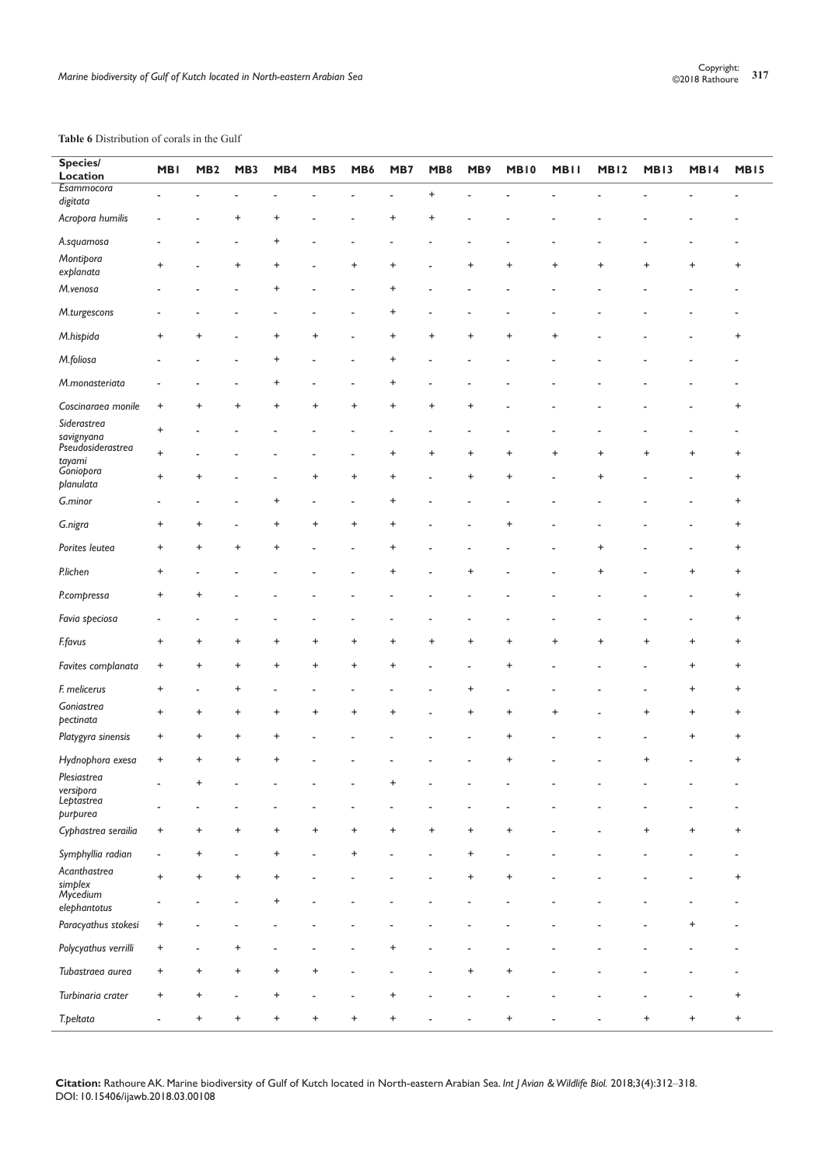## **Table 6** Distribution of corals in the Gulf

L

| <b>Species/</b><br>Location            | <b>MBI</b> | MB <sub>2</sub> | MB3       | MB4       | MB5       | MB6       | MB7       | MB8       | MB9                              | <b>MB10</b>                      | <b>MBII</b> | MB <sub>12</sub> | <b>MB13</b> | MB14      | <b>MB15</b> |
|----------------------------------------|------------|-----------------|-----------|-----------|-----------|-----------|-----------|-----------|----------------------------------|----------------------------------|-------------|------------------|-------------|-----------|-------------|
| Esammocora                             |            |                 |           |           |           |           |           |           |                                  |                                  |             |                  |             |           |             |
| digitata                               |            |                 |           |           |           |           |           | $\pmb{+}$ |                                  |                                  |             |                  |             |           |             |
| Acropora humilis                       |            |                 | +         | +         |           |           | +         | +         |                                  |                                  |             |                  |             |           |             |
| A.squamosa                             |            |                 |           | +         |           |           |           |           |                                  |                                  |             |                  |             |           |             |
| Montipora<br>explanata                 | $\ddot{}$  |                 | $\ddot{}$ | $\ddot{}$ |           | $\ddot{}$ | +         |           | +                                | $\ddot{}$                        | +           | $\ddot{}$        | $\ddot{}$   | $\ddot{}$ | +           |
| M.venosa                               |            |                 |           | +         |           |           | +         |           |                                  |                                  |             |                  |             |           |             |
| M.turgescons                           |            |                 |           |           |           |           | +         |           |                                  |                                  |             |                  |             |           |             |
| M.hispida                              | +          | +               |           | $\pmb{+}$ | +         |           | $\pmb{+}$ | +         | $\ddot{}$                        | $\ddot{}$                        | +           |                  |             |           | +           |
| M.foliosa                              |            |                 |           | $\pmb{+}$ |           |           | $\ddot{}$ |           |                                  |                                  |             |                  |             |           |             |
| M.monasteriata                         |            |                 |           | $\pmb{+}$ |           |           | +         |           |                                  |                                  |             |                  |             |           |             |
| Coscinaraea monile                     | $\ddot{}$  |                 | +         | +         | +         |           | $\ddot{}$ | +         |                                  |                                  |             |                  |             |           | +           |
| Siderastrea                            | $\ddot{}$  |                 |           |           |           |           |           |           |                                  |                                  |             |                  |             |           |             |
| savignyana<br>Pseudosiderastrea        |            |                 |           |           |           |           |           |           |                                  |                                  |             |                  |             |           |             |
|                                        | +          |                 |           |           |           |           | +         | +         | $\ddot{}$                        | $\ddot{}$                        | +           | +                | +           | $\ddot{}$ | +           |
| tayami<br>Goniopora<br>planulata       | $\ddot{}$  | $\ddot{}$       |           |           | $\ddot{}$ | $\ddot{}$ | $\ddot{}$ |           | $\ddot{}$                        | $\ddot{}$                        |             | $\ddot{}$        |             |           | $\ddot{}$   |
| G.minor                                |            |                 |           | +         |           |           | +         |           |                                  |                                  |             |                  |             |           | +           |
| G.nigra                                | +          | +               |           | +         | +         | +         |           |           |                                  | +                                |             |                  |             |           | $\ddot{}$   |
| Porites leutea                         | +          | +               | $\ddot{}$ | $\ddot{}$ |           |           | +         |           |                                  |                                  |             | +                |             |           | +           |
| <b>P.lichen</b>                        | +          |                 |           |           |           |           |           |           |                                  |                                  |             | +                |             | $\ddot{}$ | +           |
| P.compressa                            | +          | $\ddot{}$       |           |           |           |           |           |           |                                  |                                  |             |                  |             |           | $\ddot{}$   |
| Favia speciosa                         |            |                 |           |           |           |           |           |           |                                  |                                  |             |                  |             |           | +           |
| <b>F.favus</b>                         | $\ddot{}$  | $\ddot{}$       | +         | +         | +         | +         | +         | $\ddot{}$ | $\ddot{}$                        | $\ddot{}$                        | $\ddot{}$   | $\pmb{+}$        | $\ddot{}$   | $\ddot{}$ | $\ddot{}$   |
| Favites complanata                     | $\ddot{}$  | +               | $\ddot{}$ | +         | +         | $\ddot{}$ | ÷         |           |                                  | $\pmb{+}$                        |             |                  |             | $\ddot{}$ | $\ddot{}$   |
| F. melicerus                           | +          |                 | +         |           |           |           |           |           | +                                |                                  |             |                  |             | $\ddot{}$ | $\ddot{}$   |
| Goniastrea<br>pectinata                | $\ddot{}$  | $\ddot{}$       | $\ddot{}$ | +         | +         |           |           |           | $\ddot{}$                        | $\begin{array}{c} + \end{array}$ |             |                  | $\ddot{}$   | $\ddot{}$ | $\ddot{}$   |
| Platygyra sinensis                     | $\ddot{}$  | $\ddot{}$       | $\pmb{+}$ | $\pmb{+}$ |           |           |           |           |                                  | $\pmb{+}$                        |             |                  |             | $\ddot{}$ | $\ddot{}$   |
| Hydnophora exesa                       | $\ddot{}$  | $\ddot{}$       | $\pmb{+}$ | $\ddot{}$ |           |           |           |           |                                  | $\ddot{}$                        |             |                  | $\ddot{}$   |           | $\ddot{}$   |
| Plesiastrea<br>versipora<br>Leptastrea |            | $\ddot{}$       |           |           |           |           | +         |           |                                  |                                  |             |                  |             |           |             |
| purpurea                               |            |                 |           |           |           |           |           |           |                                  |                                  |             |                  |             |           |             |
| Cyphastrea serailia                    | +          | +               | +         | $\ddot{}$ | $\ddot{}$ | +         | $\ddot{}$ | +         | $\pmb{+}$                        | $\ddot{}$                        |             |                  | $\pmb{+}$   | $\ddot{}$ | +           |
| Symphyllia radian                      |            | $\ddot{}$       |           | $\ddot{}$ |           | $\ddot{}$ |           |           | $\begin{array}{c} + \end{array}$ |                                  |             |                  |             |           |             |
| Acanthastrea<br>simplex<br>Mycedium    | $\ddot{}$  | $\ddot{}$       | $\pmb{+}$ | $\ddot{}$ |           |           |           |           | $\ddot{}$                        | $\ddot{}$                        |             |                  |             |           | +           |
| elephantotus                           |            |                 |           | $\ddot{}$ |           |           |           |           |                                  |                                  |             |                  |             |           |             |
| Paracyathus stokesi                    | $\ddot{}$  |                 |           |           |           |           |           |           |                                  |                                  |             |                  |             | $\ddot{}$ |             |
| Polycyathus verrilli                   | $\ddot{}$  |                 | $\pmb{+}$ |           |           |           | +         |           |                                  |                                  |             |                  |             |           |             |
| Tubastraea aurea                       | +          | +               | $\pmb{+}$ | $\ddot{}$ | $\ddot{}$ |           |           |           |                                  | $\ddot{}$                        |             |                  |             |           |             |
| Turbinaria crater                      | $\ddot{}$  | $\ddot{}$       |           | $\ddot{}$ |           |           |           |           |                                  |                                  |             |                  |             |           | +           |
| T.peltata                              |            | $\ddot{}$       | +         | +         | +         |           |           |           |                                  | $\ddot{}$                        |             |                  | $\ddot{}$   | $\ddot{}$ | $\ddot{}$   |

**Citation:** Rathoure AK. Marine biodiversity of Gulf of Kutch located in North-eastern Arabian Sea. *Int J Avian & Wildlife Biol.* 2018;3(4):312‒318. DOI: [10.15406/ijawb.2018.03.00108](https://doi.org/10.15406/ijawb.2018.03.00108
)